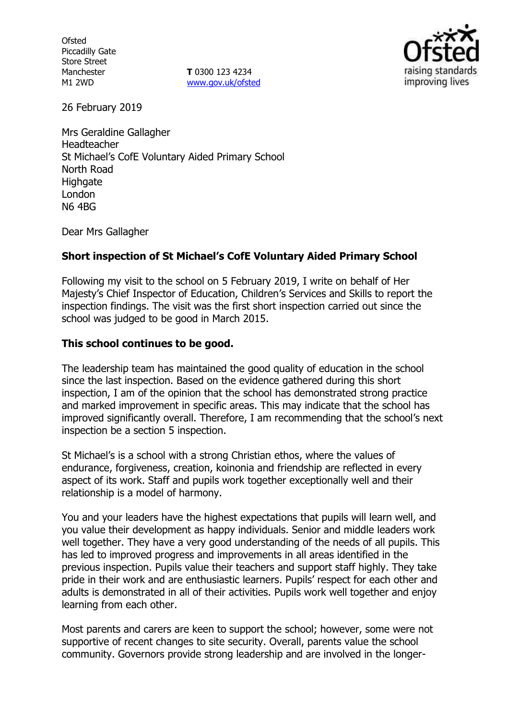**Ofsted** Piccadilly Gate Store Street Manchester M1 2WD

**T** 0300 123 4234 [www.gov.uk/ofsted](http://www.gov.uk/ofsted)



26 February 2019

Mrs Geraldine Gallagher Headteacher St Michael's CofE Voluntary Aided Primary School North Road **Highgate** London N6 4BG

Dear Mrs Gallagher

## **Short inspection of St Michael's CofE Voluntary Aided Primary School**

Following my visit to the school on 5 February 2019, I write on behalf of Her Majesty's Chief Inspector of Education, Children's Services and Skills to report the inspection findings. The visit was the first short inspection carried out since the school was judged to be good in March 2015.

## **This school continues to be good.**

The leadership team has maintained the good quality of education in the school since the last inspection. Based on the evidence gathered during this short inspection, I am of the opinion that the school has demonstrated strong practice and marked improvement in specific areas. This may indicate that the school has improved significantly overall. Therefore, I am recommending that the school's next inspection be a section 5 inspection.

St Michael's is a school with a strong Christian ethos, where the values of endurance, forgiveness, creation, koinonia and friendship are reflected in every aspect of its work. Staff and pupils work together exceptionally well and their relationship is a model of harmony.

You and your leaders have the highest expectations that pupils will learn well, and you value their development as happy individuals. Senior and middle leaders work well together. They have a very good understanding of the needs of all pupils. This has led to improved progress and improvements in all areas identified in the previous inspection. Pupils value their teachers and support staff highly. They take pride in their work and are enthusiastic learners. Pupils' respect for each other and adults is demonstrated in all of their activities. Pupils work well together and enjoy learning from each other.

Most parents and carers are keen to support the school; however, some were not supportive of recent changes to site security. Overall, parents value the school community. Governors provide strong leadership and are involved in the longer-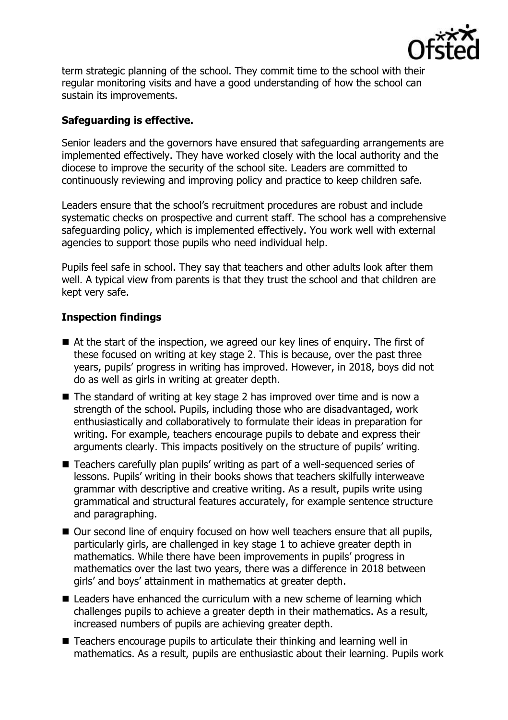

term strategic planning of the school. They commit time to the school with their regular monitoring visits and have a good understanding of how the school can sustain its improvements.

# **Safeguarding is effective.**

Senior leaders and the governors have ensured that safeguarding arrangements are implemented effectively. They have worked closely with the local authority and the diocese to improve the security of the school site. Leaders are committed to continuously reviewing and improving policy and practice to keep children safe.

Leaders ensure that the school's recruitment procedures are robust and include systematic checks on prospective and current staff. The school has a comprehensive safeguarding policy, which is implemented effectively. You work well with external agencies to support those pupils who need individual help.

Pupils feel safe in school. They say that teachers and other adults look after them well. A typical view from parents is that they trust the school and that children are kept very safe.

## **Inspection findings**

- At the start of the inspection, we agreed our key lines of enguiry. The first of these focused on writing at key stage 2. This is because, over the past three years, pupils' progress in writing has improved. However, in 2018, boys did not do as well as girls in writing at greater depth.
- The standard of writing at key stage 2 has improved over time and is now a strength of the school. Pupils, including those who are disadvantaged, work enthusiastically and collaboratively to formulate their ideas in preparation for writing. For example, teachers encourage pupils to debate and express their arguments clearly. This impacts positively on the structure of pupils' writing.
- Teachers carefully plan pupils' writing as part of a well-sequenced series of lessons. Pupils' writing in their books shows that teachers skilfully interweave grammar with descriptive and creative writing. As a result, pupils write using grammatical and structural features accurately, for example sentence structure and paragraphing.
- Our second line of enquiry focused on how well teachers ensure that all pupils, particularly girls, are challenged in key stage 1 to achieve greater depth in mathematics. While there have been improvements in pupils' progress in mathematics over the last two years, there was a difference in 2018 between girls' and boys' attainment in mathematics at greater depth.
- Leaders have enhanced the curriculum with a new scheme of learning which challenges pupils to achieve a greater depth in their mathematics. As a result, increased numbers of pupils are achieving greater depth.
- Teachers encourage pupils to articulate their thinking and learning well in mathematics. As a result, pupils are enthusiastic about their learning. Pupils work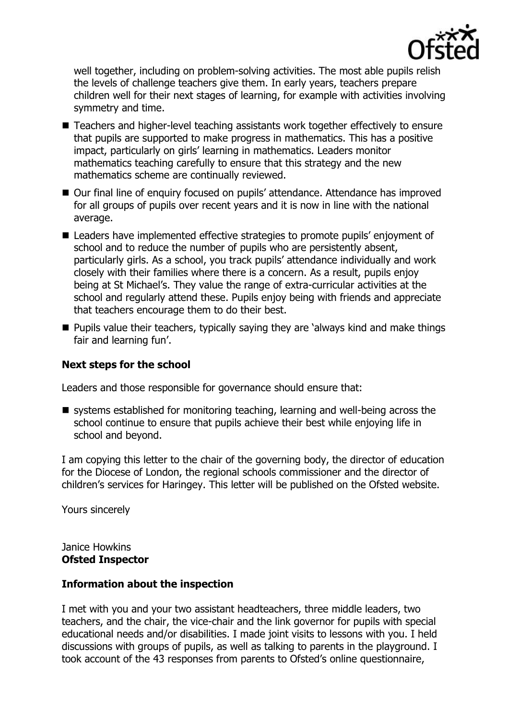

well together, including on problem-solving activities. The most able pupils relish the levels of challenge teachers give them. In early years, teachers prepare children well for their next stages of learning, for example with activities involving symmetry and time.

- Teachers and higher-level teaching assistants work together effectively to ensure that pupils are supported to make progress in mathematics. This has a positive impact, particularly on girls' learning in mathematics. Leaders monitor mathematics teaching carefully to ensure that this strategy and the new mathematics scheme are continually reviewed.
- Our final line of enquiry focused on pupils' attendance. Attendance has improved for all groups of pupils over recent years and it is now in line with the national average.
- Leaders have implemented effective strategies to promote pupils' enjoyment of school and to reduce the number of pupils who are persistently absent, particularly girls. As a school, you track pupils' attendance individually and work closely with their families where there is a concern. As a result, pupils enjoy being at St Michael's. They value the range of extra-curricular activities at the school and regularly attend these. Pupils enjoy being with friends and appreciate that teachers encourage them to do their best.
- **Pupils value their teachers, typically saying they are 'always kind and make things** fair and learning fun'.

### **Next steps for the school**

Leaders and those responsible for governance should ensure that:

 $\blacksquare$  systems established for monitoring teaching, learning and well-being across the school continue to ensure that pupils achieve their best while enjoying life in school and beyond.

I am copying this letter to the chair of the governing body, the director of education for the Diocese of London, the regional schools commissioner and the director of children's services for Haringey. This letter will be published on the Ofsted website.

Yours sincerely

Janice Howkins **Ofsted Inspector**

### **Information about the inspection**

I met with you and your two assistant headteachers, three middle leaders, two teachers, and the chair, the vice-chair and the link governor for pupils with special educational needs and/or disabilities. I made joint visits to lessons with you. I held discussions with groups of pupils, as well as talking to parents in the playground. I took account of the 43 responses from parents to Ofsted's online questionnaire,